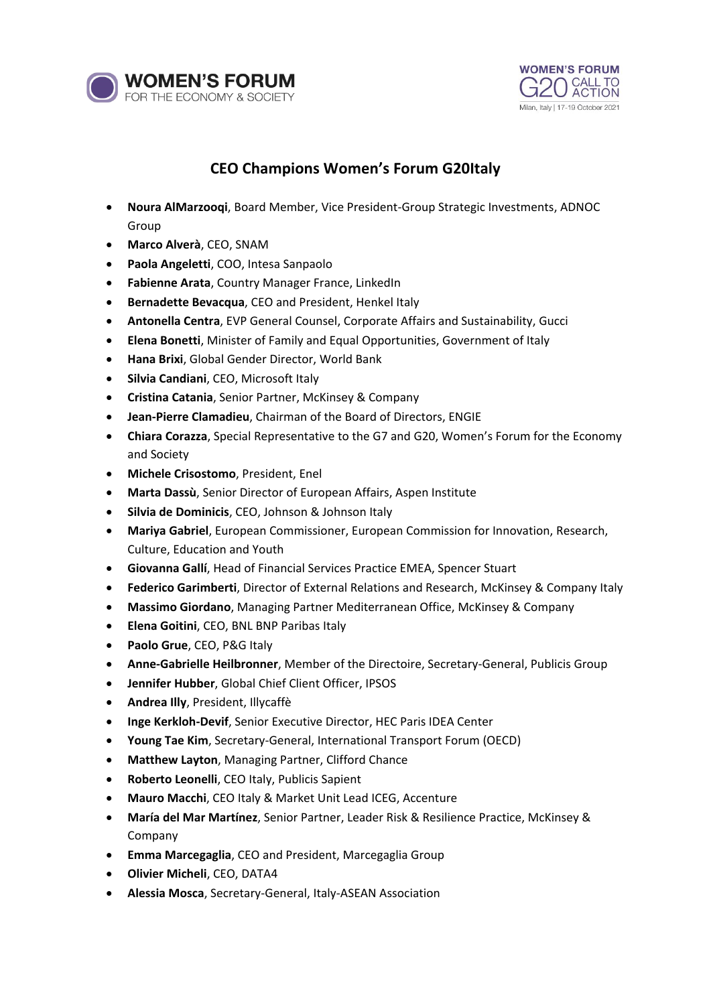



## **CEO Champions Women's Forum G20Italy**

- **Noura AlMarzooqi**, Board Member, Vice President-Group Strategic Investments, ADNOC Group
- **Marco Alverà**, CEO, SNAM
- **Paola Angeletti**, COO, Intesa Sanpaolo
- **Fabienne Arata**, Country Manager France, LinkedIn
- **Bernadette Bevacqua**, CEO and President, Henkel Italy
- **Antonella Centra**, EVP General Counsel, Corporate Affairs and Sustainability, Gucci
- **Elena Bonetti**, Minister of Family and Equal Opportunities, Government of Italy
- **Hana Brixi**, Global Gender Director, World Bank
- **Silvia Candiani**, CEO, Microsoft Italy
- **Cristina Catania**, Senior Partner, McKinsey & Company
- **Jean-Pierre Clamadieu**, Chairman of the Board of Directors, ENGIE
- **Chiara Corazza**, Special Representative to the G7 and G20, Women's Forum for the Economy and Society
- **Michele Crisostomo**, President, Enel
- **Marta Dassù**, Senior Director of European Affairs, Aspen Institute
- **Silvia de Dominicis**, CEO, Johnson & Johnson Italy
- **Mariya Gabriel**, European Commissioner, European Commission for Innovation, Research, Culture, Education and Youth
- **Giovanna Gallí**, Head of Financial Services Practice EMEA, Spencer Stuart
- **Federico Garimberti**, Director of External Relations and Research, McKinsey & Company Italy
- **Massimo Giordano**, Managing Partner Mediterranean Office, McKinsey & Company
- **Elena Goitini**, CEO, BNL BNP Paribas Italy
- **Paolo Grue**, CEO, P&G Italy
- **Anne-Gabrielle Heilbronner**, Member of the Directoire, Secretary-General, Publicis Group
- **Jennifer Hubber**, Global Chief Client Officer, IPSOS
- **Andrea Illy**, President, Illycaffè
- **Inge Kerkloh-Devif**, Senior Executive Director, HEC Paris IDEA Center
- **Young Tae Kim**, Secretary-General, International Transport Forum (OECD)
- **Matthew Layton**, Managing Partner, Clifford Chance
- **Roberto Leonelli**, CEO Italy, Publicis Sapient
- **Mauro Macchi**, CEO Italy & Market Unit Lead ICEG, Accenture
- **María del Mar Martínez**, Senior Partner, Leader Risk & Resilience Practice, McKinsey & Company
- **Emma Marcegaglia**, CEO and President, Marcegaglia Group
- **Olivier Micheli**, CEO, DATA4
- **Alessia Mosca**, Secretary-General, Italy-ASEAN Association